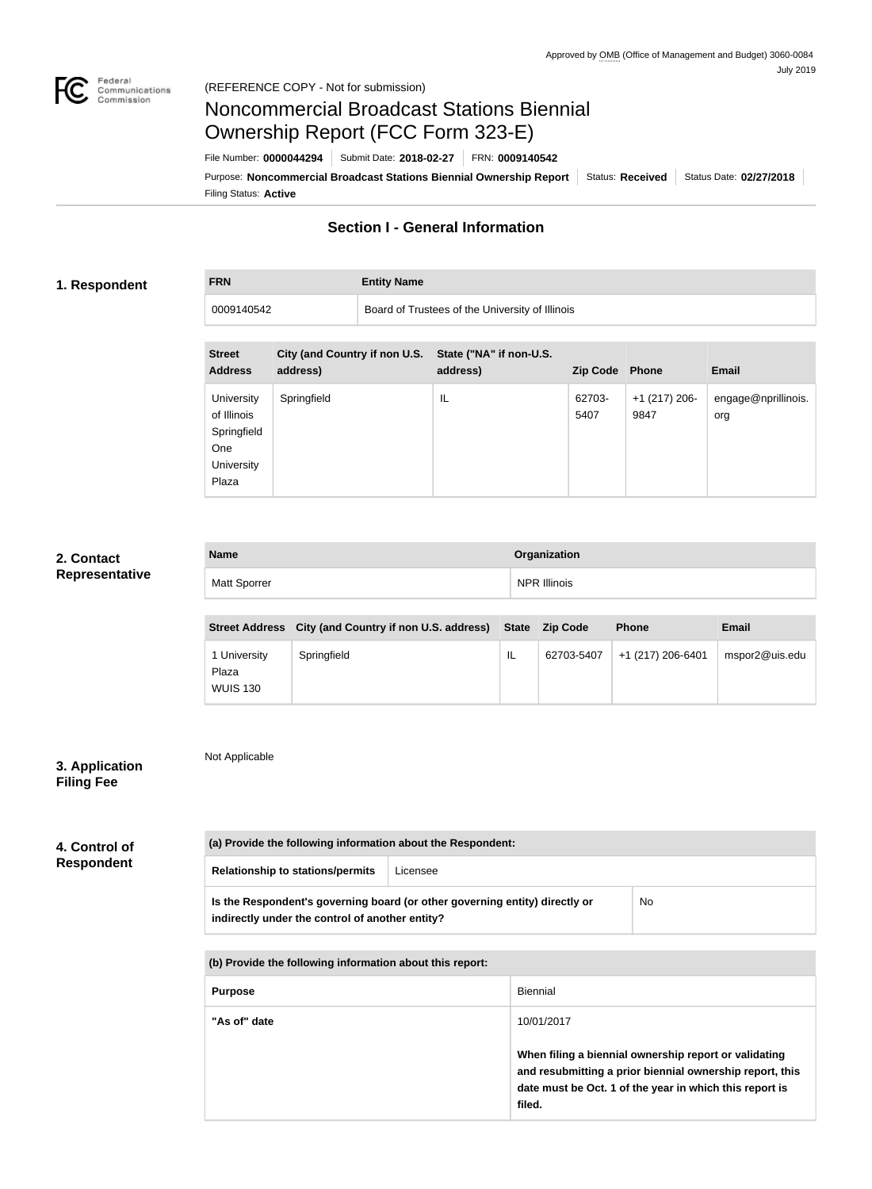

**FRN Entity Name**

# Noncommercial Broadcast Stations Biennial Ownership Report (FCC Form 323-E)

Filing Status: **Active** Purpose: Noncommercial Broadcast Stations Biennial Ownership Report | Status: Received | Status Date: 02/27/2018 File Number: **0000044294** Submit Date: **2018-02-27** FRN: **0009140542**

# **Section I - General Information**

### **1. Respondent**

0009140542 Board of Trustees of the University of Illinois

| <b>Street</b><br><b>Address</b>                                               | City (and Country if non U.S.<br>address) | State ("NA" if non-U.S.<br>address) | Zip Code Phone |                         | <b>Email</b>               |
|-------------------------------------------------------------------------------|-------------------------------------------|-------------------------------------|----------------|-------------------------|----------------------------|
| <b>University</b><br>of Illinois<br>Springfield<br>One<br>University<br>Plaza | Springfield                               | IL                                  | 62703-<br>5407 | $+1$ (217) 206-<br>9847 | engage@nprillinois.<br>org |

### **2. Contact Representative**

| <b>Name</b>         | Organization        |
|---------------------|---------------------|
| <b>Matt Sporrer</b> | <b>NPR Illinois</b> |

|                                          | Street Address City (and Country if non U.S. address) State Zip Code |    |            | <b>Phone</b>      | Email          |
|------------------------------------------|----------------------------------------------------------------------|----|------------|-------------------|----------------|
| 1 University<br>Plaza<br><b>WUIS 130</b> | Springfield                                                          | IL | 62703-5407 | +1 (217) 206-6401 | mspor2@uis.edu |

# **3. Application Filing Fee**

Not Applicable

| 4. Control of<br><b>Respondent</b> |                                                          | (a) Provide the following information about the Respondent:                                                                                      |                 |                                                                                                                   |  |  |  |
|------------------------------------|----------------------------------------------------------|--------------------------------------------------------------------------------------------------------------------------------------------------|-----------------|-------------------------------------------------------------------------------------------------------------------|--|--|--|
|                                    | <b>Relationship to stations/permits</b>                  | Licensee                                                                                                                                         |                 |                                                                                                                   |  |  |  |
|                                    |                                                          | Is the Respondent's governing board (or other governing entity) directly or<br>N <sub>o</sub><br>indirectly under the control of another entity? |                 |                                                                                                                   |  |  |  |
|                                    | (b) Provide the following information about this report: |                                                                                                                                                  |                 |                                                                                                                   |  |  |  |
|                                    | <b>Purpose</b>                                           |                                                                                                                                                  | <b>Biennial</b> |                                                                                                                   |  |  |  |
|                                    | "As of" date                                             |                                                                                                                                                  | 10/01/2017      |                                                                                                                   |  |  |  |
|                                    |                                                          |                                                                                                                                                  |                 | When filing a biennial ownership report or validating<br>and resubmitting a prior biennial ownership report, this |  |  |  |

**filed.**

**date must be Oct. 1 of the year in which this report is**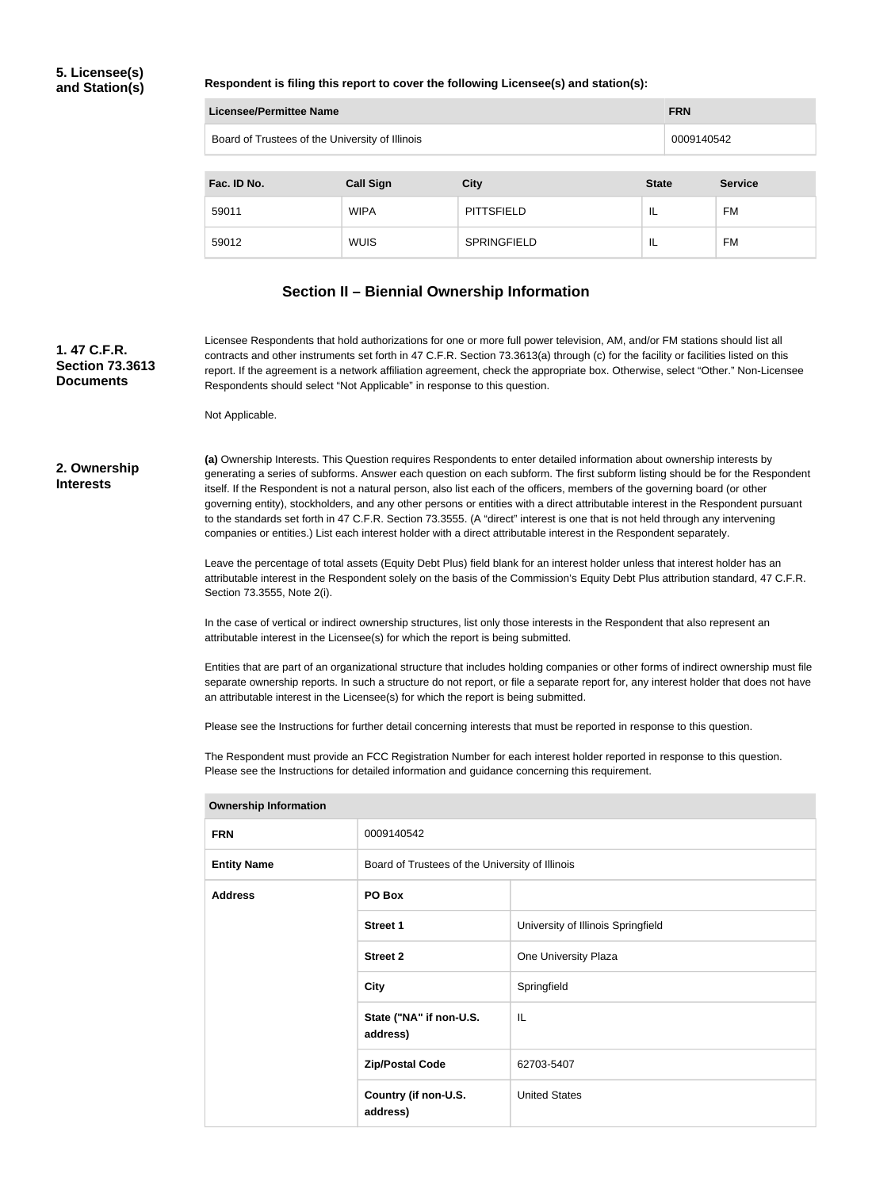## **5. Licensee(s) and Station(s)**

#### **Respondent is filing this report to cover the following Licensee(s) and station(s):**

|             | <b>Licensee/Permittee Name</b><br><b>FRN</b>    |                    |              |                |  |
|-------------|-------------------------------------------------|--------------------|--------------|----------------|--|
|             | Board of Trustees of the University of Illinois |                    |              | 0009140542     |  |
|             |                                                 |                    |              |                |  |
| Fac. ID No. | <b>Call Sign</b>                                | <b>City</b>        | <b>State</b> | <b>Service</b> |  |
| 59011       | <b>WIPA</b>                                     | <b>PITTSFIELD</b>  | IL           | <b>FM</b>      |  |
| 59012       | <b>WUIS</b>                                     | <b>SPRINGFIELD</b> | IL           | <b>FM</b>      |  |

### **Section II – Biennial Ownership Information**

**1. 47 C.F.R. Section 73.3613 Documents**

Licensee Respondents that hold authorizations for one or more full power television, AM, and/or FM stations should list all contracts and other instruments set forth in 47 C.F.R. Section 73.3613(a) through (c) for the facility or facilities listed on this report. If the agreement is a network affiliation agreement, check the appropriate box. Otherwise, select "Other." Non-Licensee Respondents should select "Not Applicable" in response to this question.

Not Applicable.

#### **2. Ownership Interests**

**(a)** Ownership Interests. This Question requires Respondents to enter detailed information about ownership interests by generating a series of subforms. Answer each question on each subform. The first subform listing should be for the Respondent itself. If the Respondent is not a natural person, also list each of the officers, members of the governing board (or other governing entity), stockholders, and any other persons or entities with a direct attributable interest in the Respondent pursuant to the standards set forth in 47 C.F.R. Section 73.3555. (A "direct" interest is one that is not held through any intervening companies or entities.) List each interest holder with a direct attributable interest in the Respondent separately.

Leave the percentage of total assets (Equity Debt Plus) field blank for an interest holder unless that interest holder has an attributable interest in the Respondent solely on the basis of the Commission's Equity Debt Plus attribution standard, 47 C.F.R. Section 73.3555, Note 2(i).

In the case of vertical or indirect ownership structures, list only those interests in the Respondent that also represent an attributable interest in the Licensee(s) for which the report is being submitted.

Entities that are part of an organizational structure that includes holding companies or other forms of indirect ownership must file separate ownership reports. In such a structure do not report, or file a separate report for, any interest holder that does not have an attributable interest in the Licensee(s) for which the report is being submitted.

Please see the Instructions for further detail concerning interests that must be reported in response to this question.

The Respondent must provide an FCC Registration Number for each interest holder reported in response to this question. Please see the Instructions for detailed information and guidance concerning this requirement.

| <b>FRN</b>         | 0009140542                                      |                                    |  |
|--------------------|-------------------------------------------------|------------------------------------|--|
| <b>Entity Name</b> | Board of Trustees of the University of Illinois |                                    |  |
| <b>Address</b>     | PO Box                                          |                                    |  |
|                    | <b>Street 1</b>                                 | University of Illinois Springfield |  |
|                    | <b>Street 2</b>                                 | One University Plaza               |  |
|                    | <b>City</b>                                     | Springfield                        |  |
|                    | State ("NA" if non-U.S.<br>address)             | IL                                 |  |
|                    | <b>Zip/Postal Code</b>                          | 62703-5407                         |  |
|                    | Country (if non-U.S.<br>address)                | <b>United States</b>               |  |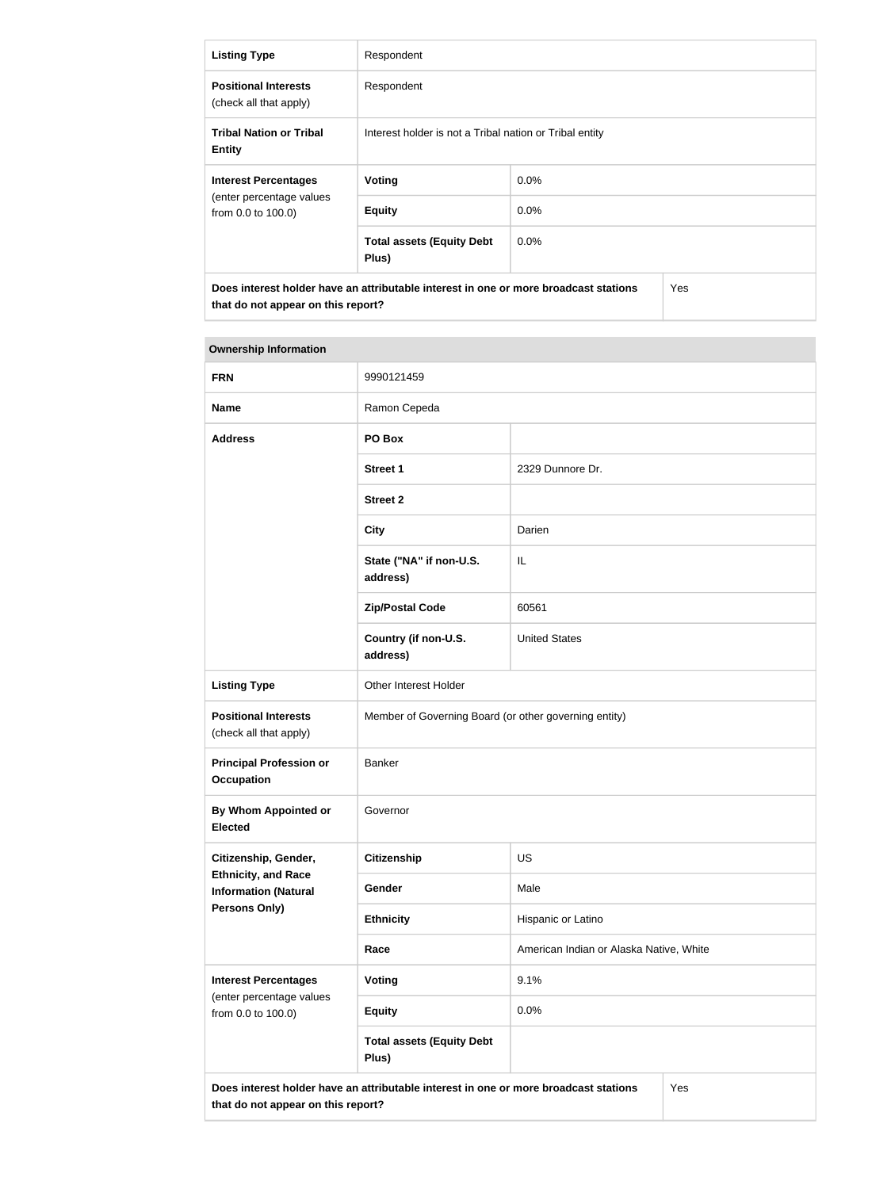| <b>Listing Type</b>                                   | Respondent                                                                           |         |     |
|-------------------------------------------------------|--------------------------------------------------------------------------------------|---------|-----|
| <b>Positional Interests</b><br>(check all that apply) | Respondent                                                                           |         |     |
| <b>Tribal Nation or Tribal</b><br><b>Entity</b>       | Interest holder is not a Tribal nation or Tribal entity                              |         |     |
| <b>Interest Percentages</b>                           | Voting                                                                               | $0.0\%$ |     |
| (enter percentage values<br>from 0.0 to 100.0)        | <b>Equity</b>                                                                        | $0.0\%$ |     |
|                                                       | <b>Total assets (Equity Debt</b><br>Plus)                                            | $0.0\%$ |     |
| that do not appear on this report?                    | Does interest holder have an attributable interest in one or more broadcast stations |         | Yes |

| <b>FRN</b>                                                | 9990121459                                                                           |                                         |     |
|-----------------------------------------------------------|--------------------------------------------------------------------------------------|-----------------------------------------|-----|
| <b>Name</b>                                               | Ramon Cepeda                                                                         |                                         |     |
| <b>Address</b>                                            | PO Box                                                                               |                                         |     |
|                                                           | <b>Street 1</b>                                                                      | 2329 Dunnore Dr.                        |     |
|                                                           | <b>Street 2</b>                                                                      |                                         |     |
|                                                           | <b>City</b>                                                                          | Darien                                  |     |
|                                                           | State ("NA" if non-U.S.<br>address)                                                  | IL                                      |     |
|                                                           | <b>Zip/Postal Code</b>                                                               | 60561                                   |     |
|                                                           | Country (if non-U.S.<br>address)                                                     | <b>United States</b>                    |     |
| <b>Listing Type</b>                                       | Other Interest Holder                                                                |                                         |     |
| <b>Positional Interests</b><br>(check all that apply)     | Member of Governing Board (or other governing entity)                                |                                         |     |
| <b>Principal Profession or</b><br><b>Occupation</b>       | Banker                                                                               |                                         |     |
| By Whom Appointed or<br><b>Elected</b>                    | Governor                                                                             |                                         |     |
| Citizenship, Gender,                                      | <b>Citizenship</b>                                                                   | US                                      |     |
| <b>Ethnicity, and Race</b><br><b>Information (Natural</b> | Gender                                                                               | Male                                    |     |
| <b>Persons Only)</b>                                      | <b>Ethnicity</b>                                                                     | Hispanic or Latino                      |     |
|                                                           | Race                                                                                 | American Indian or Alaska Native, White |     |
| <b>Interest Percentages</b>                               | <b>Voting</b>                                                                        | 9.1%                                    |     |
| (enter percentage values<br>from 0.0 to 100.0)            | <b>Equity</b>                                                                        | 0.0%                                    |     |
|                                                           | <b>Total assets (Equity Debt</b><br>Plus)                                            |                                         |     |
| that do not appear on this report?                        | Does interest holder have an attributable interest in one or more broadcast stations |                                         | Yes |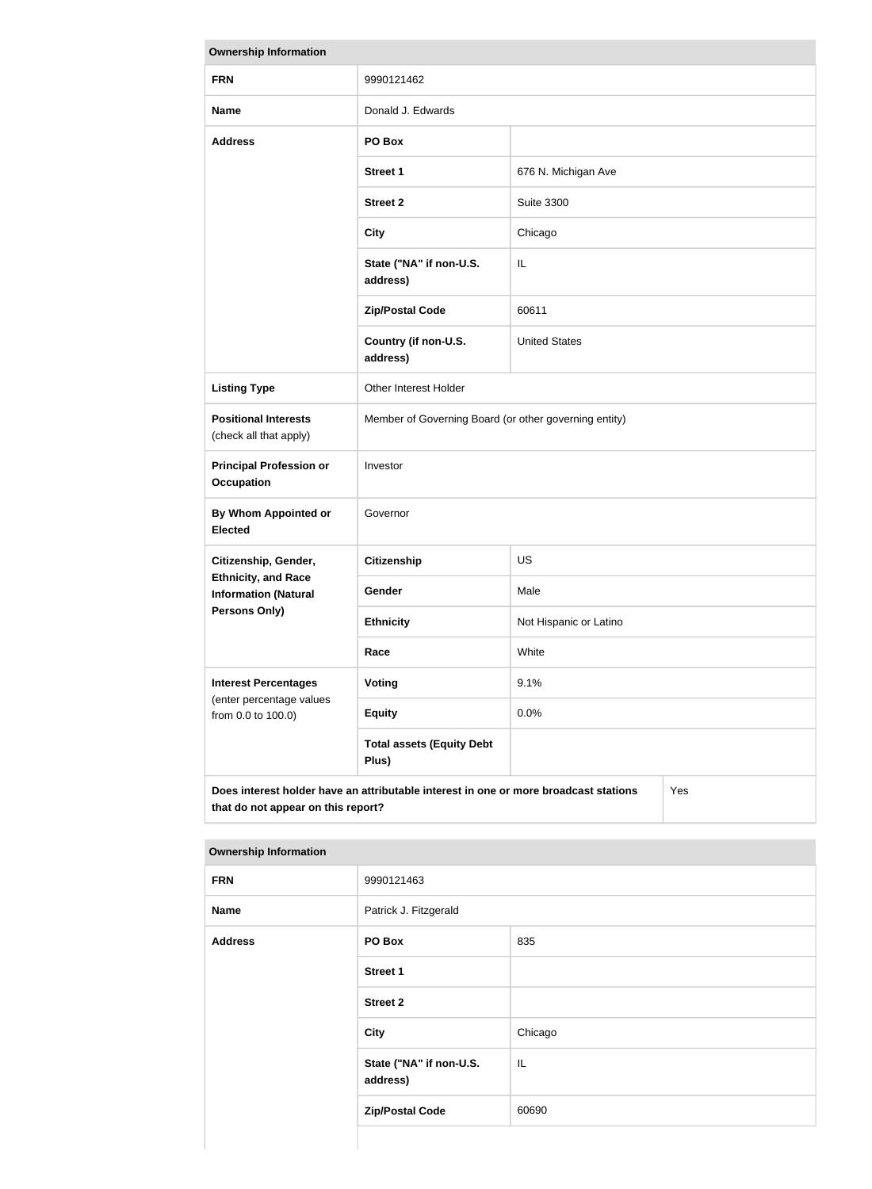| <b>Ownership Information</b>                              |                                                                                      |                        |     |  |
|-----------------------------------------------------------|--------------------------------------------------------------------------------------|------------------------|-----|--|
| <b>FRN</b>                                                | 9990121462                                                                           |                        |     |  |
| <b>Name</b>                                               | Donald J. Edwards                                                                    |                        |     |  |
| <b>Address</b>                                            | PO Box                                                                               |                        |     |  |
|                                                           | <b>Street 1</b>                                                                      | 676 N. Michigan Ave    |     |  |
|                                                           | <b>Street 2</b>                                                                      | <b>Suite 3300</b>      |     |  |
|                                                           | <b>City</b>                                                                          | Chicago                |     |  |
|                                                           | State ("NA" if non-U.S.<br>address)                                                  | IL                     |     |  |
|                                                           | <b>Zip/Postal Code</b>                                                               | 60611                  |     |  |
|                                                           | Country (if non-U.S.<br>address)                                                     | <b>United States</b>   |     |  |
| <b>Listing Type</b>                                       | Other Interest Holder                                                                |                        |     |  |
| <b>Positional Interests</b><br>(check all that apply)     | Member of Governing Board (or other governing entity)                                |                        |     |  |
| <b>Principal Profession or</b><br><b>Occupation</b>       | Investor                                                                             |                        |     |  |
| <b>By Whom Appointed or</b><br><b>Elected</b>             | Governor                                                                             |                        |     |  |
| Citizenship, Gender,                                      | <b>Citizenship</b>                                                                   | <b>US</b>              |     |  |
| <b>Ethnicity, and Race</b><br><b>Information (Natural</b> | <b>Gender</b>                                                                        | Male                   |     |  |
| <b>Persons Only)</b>                                      | <b>Ethnicity</b>                                                                     | Not Hispanic or Latino |     |  |
|                                                           | Race                                                                                 | White                  |     |  |
| <b>Interest Percentages</b><br>(enter percentage values   | <b>Voting</b>                                                                        | 9.1%                   |     |  |
| from 0.0 to 100.0)                                        | <b>Equity</b>                                                                        | 0.0%                   |     |  |
|                                                           | <b>Total assets (Equity Debt</b><br>Plus)                                            |                        |     |  |
| that do not appear on this report?                        | Does interest holder have an attributable interest in one or more broadcast stations |                        | Yes |  |

| <b>FRN</b>     | 9990121463                          |                                   |  |  |
|----------------|-------------------------------------|-----------------------------------|--|--|
| <b>Name</b>    | Patrick J. Fitzgerald               |                                   |  |  |
| <b>Address</b> | PO Box                              | 835                               |  |  |
|                | <b>Street 1</b>                     |                                   |  |  |
|                | <b>Street 2</b>                     |                                   |  |  |
|                | <b>City</b>                         | Chicago                           |  |  |
|                | State ("NA" if non-U.S.<br>address) | $\ensuremath{\mathsf{IL}}\xspace$ |  |  |
|                | <b>Zip/Postal Code</b>              | 60690                             |  |  |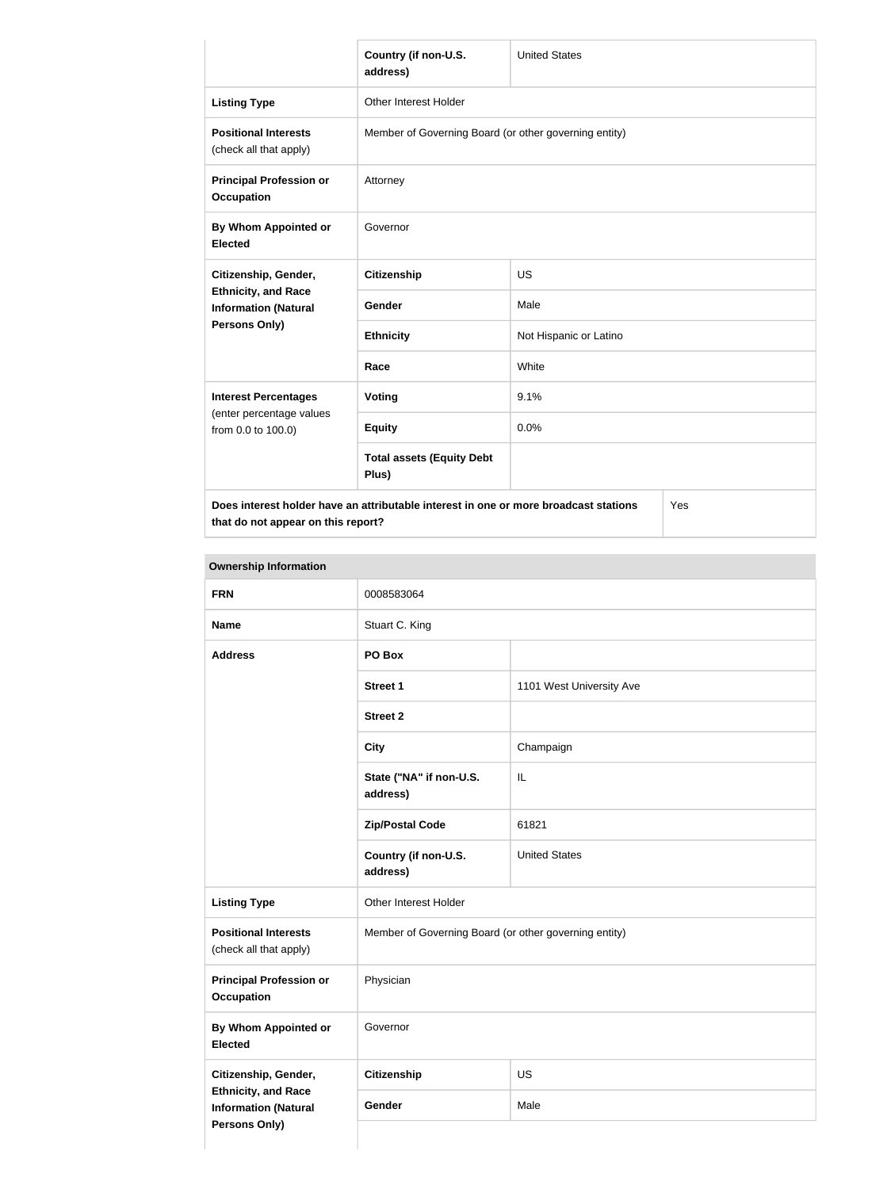|                                                           | Country (if non-U.S.<br>address)                                                     | <b>United States</b>   |     |  |
|-----------------------------------------------------------|--------------------------------------------------------------------------------------|------------------------|-----|--|
| <b>Listing Type</b>                                       | Other Interest Holder                                                                |                        |     |  |
| <b>Positional Interests</b><br>(check all that apply)     | Member of Governing Board (or other governing entity)                                |                        |     |  |
| <b>Principal Profession or</b><br><b>Occupation</b>       | Attorney                                                                             |                        |     |  |
| By Whom Appointed or<br><b>Elected</b>                    | Governor                                                                             |                        |     |  |
| Citizenship, Gender,                                      | <b>Citizenship</b>                                                                   | <b>US</b>              |     |  |
| <b>Ethnicity, and Race</b><br><b>Information (Natural</b> | Gender                                                                               | Male                   |     |  |
| <b>Persons Only)</b>                                      | <b>Ethnicity</b>                                                                     | Not Hispanic or Latino |     |  |
|                                                           | Race                                                                                 | White                  |     |  |
| <b>Interest Percentages</b>                               | Voting                                                                               | 9.1%                   |     |  |
| (enter percentage values<br>from 0.0 to 100.0)            | <b>Equity</b>                                                                        | 0.0%                   |     |  |
|                                                           | <b>Total assets (Equity Debt</b><br>Plus)                                            |                        |     |  |
|                                                           | Does interest holder have an attributable interest in one or more broadcast stations |                        | Yes |  |

**that do not appear on this report?**

Yes

| <b>FRN</b>                                                                        | 0008583064                                            |                          |  |
|-----------------------------------------------------------------------------------|-------------------------------------------------------|--------------------------|--|
| <b>Name</b>                                                                       | Stuart C. King                                        |                          |  |
| <b>Address</b>                                                                    | PO Box                                                |                          |  |
|                                                                                   | <b>Street 1</b>                                       | 1101 West University Ave |  |
|                                                                                   | <b>Street 2</b>                                       |                          |  |
|                                                                                   | <b>City</b>                                           | Champaign                |  |
|                                                                                   | State ("NA" if non-U.S.<br>address)                   | IL                       |  |
|                                                                                   | <b>Zip/Postal Code</b>                                | 61821                    |  |
|                                                                                   | Country (if non-U.S.<br>address)                      | <b>United States</b>     |  |
| <b>Listing Type</b>                                                               | Other Interest Holder                                 |                          |  |
| <b>Positional Interests</b><br>(check all that apply)                             | Member of Governing Board (or other governing entity) |                          |  |
| <b>Principal Profession or</b><br><b>Occupation</b>                               | Physician                                             |                          |  |
| By Whom Appointed or<br><b>Elected</b>                                            | Governor                                              |                          |  |
| Citizenship, Gender,                                                              | <b>Citizenship</b>                                    | US                       |  |
| <b>Ethnicity, and Race</b><br><b>Information (Natural</b><br><b>Persons Only)</b> | Gender                                                | Male                     |  |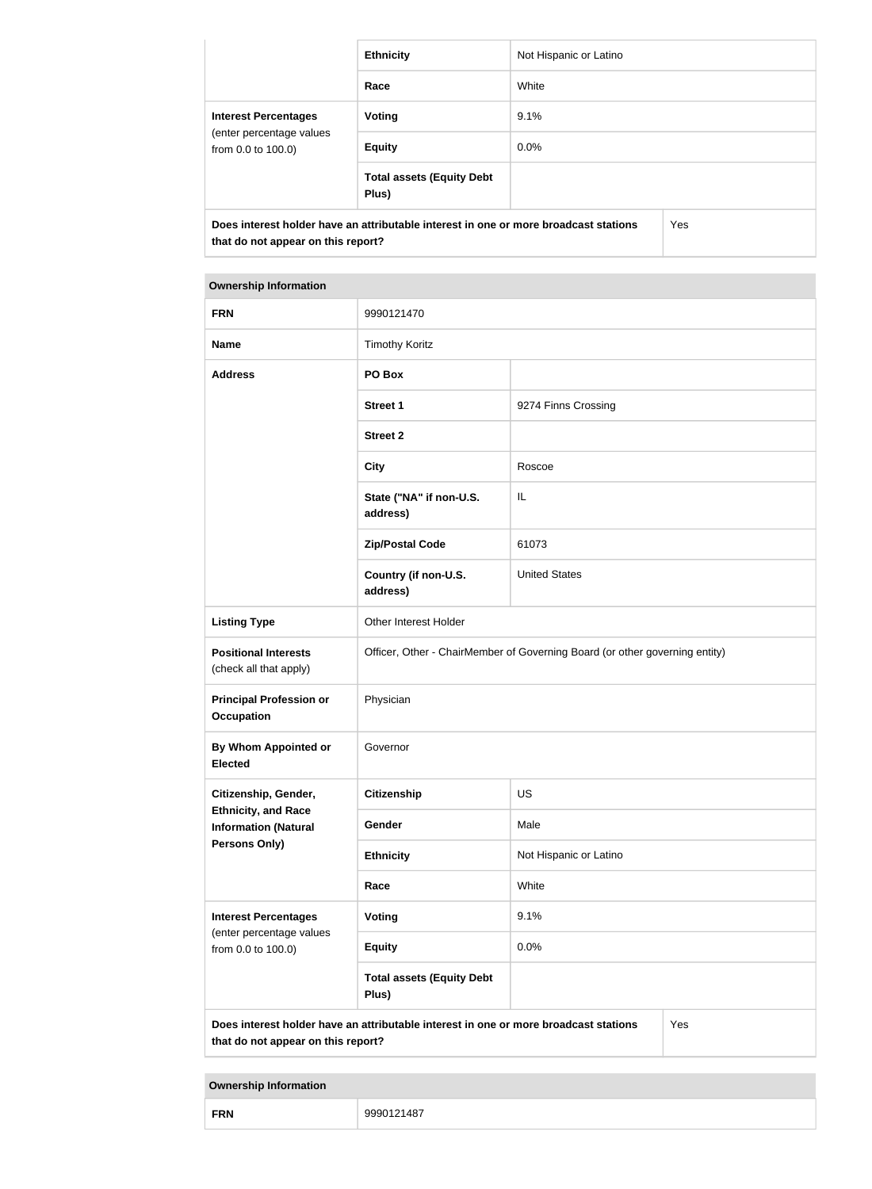|                                                                                                                            | <b>Ethnicity</b>                          | Not Hispanic or Latino |  |
|----------------------------------------------------------------------------------------------------------------------------|-------------------------------------------|------------------------|--|
|                                                                                                                            | Race                                      | White                  |  |
| <b>Interest Percentages</b><br>(enter percentage values<br>from 0.0 to 100.0)                                              | Voting                                    | 9.1%                   |  |
|                                                                                                                            | <b>Equity</b>                             | $0.0\%$                |  |
|                                                                                                                            | <b>Total assets (Equity Debt</b><br>Plus) |                        |  |
| Does interest holder have an attributable interest in one or more broadcast stations<br>that do not appear on this report? |                                           | Yes                    |  |

| <b>FRN</b>                                                | 9990121470                                                                           |                        |     |
|-----------------------------------------------------------|--------------------------------------------------------------------------------------|------------------------|-----|
| <b>Name</b>                                               | <b>Timothy Koritz</b>                                                                |                        |     |
| <b>Address</b>                                            | PO Box                                                                               |                        |     |
|                                                           | <b>Street 1</b>                                                                      | 9274 Finns Crossing    |     |
|                                                           | <b>Street 2</b>                                                                      |                        |     |
|                                                           | <b>City</b>                                                                          | Roscoe                 |     |
|                                                           | State ("NA" if non-U.S.<br>address)                                                  | IL                     |     |
|                                                           | <b>Zip/Postal Code</b>                                                               | 61073                  |     |
|                                                           | Country (if non-U.S.<br>address)                                                     | <b>United States</b>   |     |
| <b>Listing Type</b>                                       | Other Interest Holder                                                                |                        |     |
| <b>Positional Interests</b><br>(check all that apply)     | Officer, Other - ChairMember of Governing Board (or other governing entity)          |                        |     |
| <b>Principal Profession or</b><br><b>Occupation</b>       | Physician                                                                            |                        |     |
| <b>By Whom Appointed or</b><br><b>Elected</b>             | Governor                                                                             |                        |     |
| Citizenship, Gender,                                      | <b>Citizenship</b>                                                                   | US                     |     |
| <b>Ethnicity, and Race</b><br><b>Information (Natural</b> | Gender                                                                               | Male                   |     |
| Persons Only)                                             | <b>Ethnicity</b>                                                                     | Not Hispanic or Latino |     |
|                                                           | Race                                                                                 | White                  |     |
| <b>Interest Percentages</b>                               | Voting                                                                               | 9.1%                   |     |
| (enter percentage values<br>from 0.0 to 100.0)            | <b>Equity</b>                                                                        | 0.0%                   |     |
|                                                           | <b>Total assets (Equity Debt</b><br>Plus)                                            |                        |     |
| that do not appear on this report?                        | Does interest holder have an attributable interest in one or more broadcast stations |                        | Yes |

| <b>FRN</b> | 9990121487<br>−∪ |
|------------|------------------|
|------------|------------------|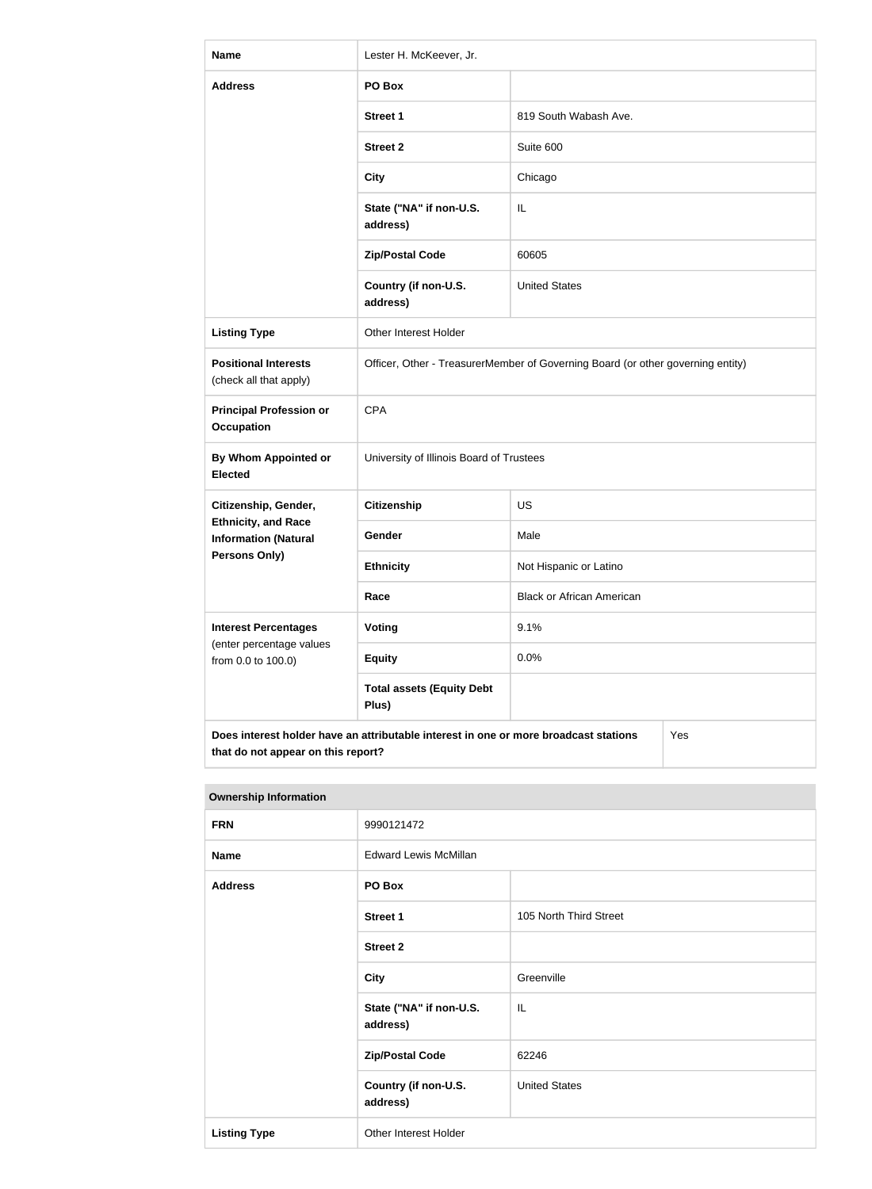| <b>Name</b>                                                                                                                       | Lester H. McKeever, Jr.                                                         |                                  |  |
|-----------------------------------------------------------------------------------------------------------------------------------|---------------------------------------------------------------------------------|----------------------------------|--|
| <b>Address</b>                                                                                                                    | PO Box                                                                          |                                  |  |
|                                                                                                                                   | <b>Street 1</b>                                                                 | 819 South Wabash Ave.            |  |
|                                                                                                                                   | <b>Street 2</b>                                                                 | Suite 600                        |  |
|                                                                                                                                   | <b>City</b>                                                                     | Chicago                          |  |
|                                                                                                                                   | State ("NA" if non-U.S.<br>address)                                             | IL                               |  |
|                                                                                                                                   | <b>Zip/Postal Code</b>                                                          | 60605                            |  |
|                                                                                                                                   | Country (if non-U.S.<br>address)                                                | <b>United States</b>             |  |
| <b>Listing Type</b>                                                                                                               | <b>Other Interest Holder</b>                                                    |                                  |  |
| <b>Positional Interests</b><br>(check all that apply)                                                                             | Officer, Other - TreasurerMember of Governing Board (or other governing entity) |                                  |  |
| <b>Principal Profession or</b><br><b>Occupation</b>                                                                               | <b>CPA</b>                                                                      |                                  |  |
| By Whom Appointed or<br><b>Elected</b>                                                                                            | University of Illinois Board of Trustees                                        |                                  |  |
| Citizenship, Gender,                                                                                                              | <b>Citizenship</b>                                                              | <b>US</b>                        |  |
| <b>Ethnicity, and Race</b><br><b>Information (Natural</b>                                                                         | Gender                                                                          | Male                             |  |
| Persons Only)                                                                                                                     | <b>Ethnicity</b>                                                                | Not Hispanic or Latino           |  |
|                                                                                                                                   | Race                                                                            | <b>Black or African American</b> |  |
| <b>Interest Percentages</b>                                                                                                       | Voting                                                                          | 9.1%                             |  |
| (enter percentage values<br>from 0.0 to 100.0)                                                                                    | <b>Equity</b>                                                                   | 0.0%                             |  |
|                                                                                                                                   | <b>Total assets (Equity Debt</b><br>Plus)                                       |                                  |  |
| Does interest holder have an attributable interest in one or more broadcast stations<br>Yes<br>that do not appear on this report? |                                                                                 |                                  |  |

| <b>Ownership Information</b> |                                     |                        |
|------------------------------|-------------------------------------|------------------------|
| <b>FRN</b>                   | 9990121472                          |                        |
| <b>Name</b>                  | <b>Edward Lewis McMillan</b>        |                        |
| <b>Address</b>               | PO Box                              |                        |
|                              | <b>Street 1</b>                     | 105 North Third Street |
|                              | <b>Street 2</b>                     |                        |
|                              | <b>City</b>                         | Greenville             |
|                              | State ("NA" if non-U.S.<br>address) | IL                     |
|                              | <b>Zip/Postal Code</b>              | 62246                  |
|                              | Country (if non-U.S.<br>address)    | <b>United States</b>   |
| <b>Listing Type</b>          | Other Interest Holder               |                        |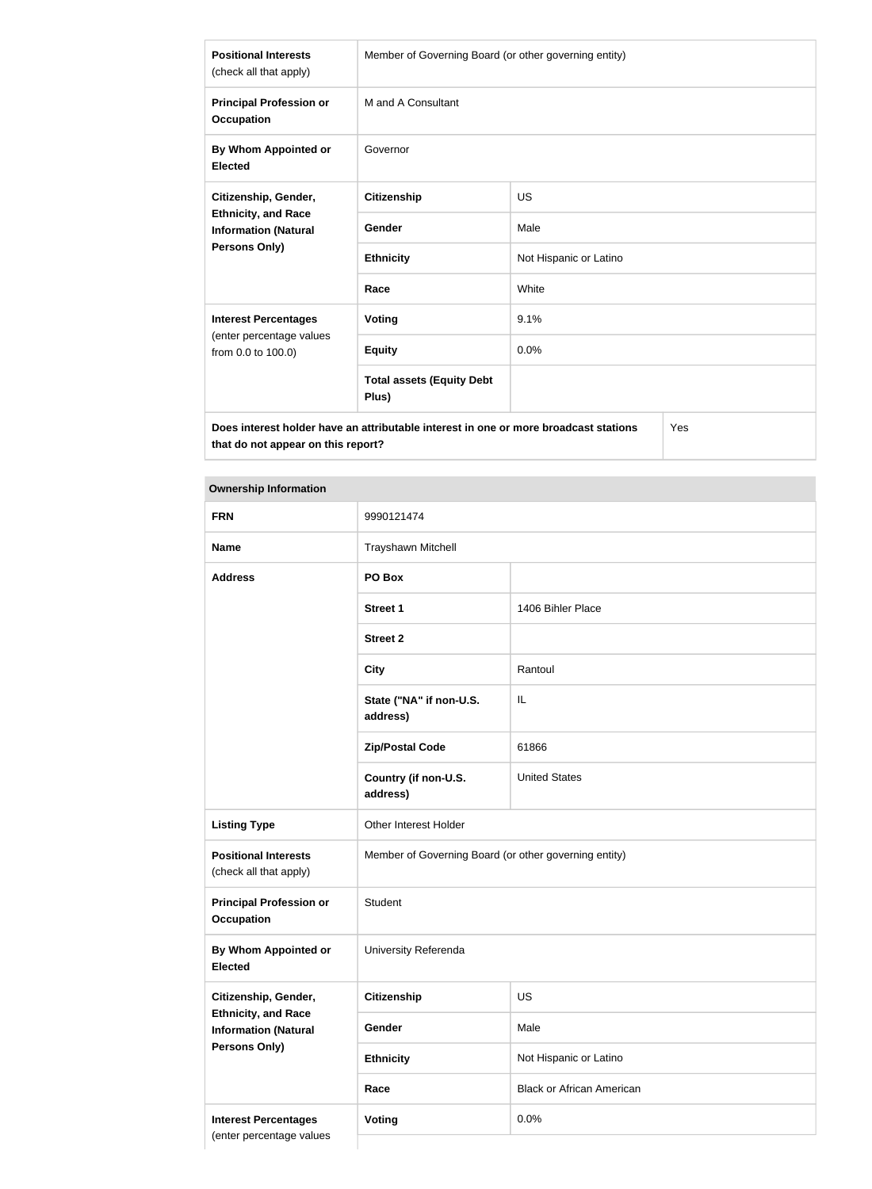| <b>Positional Interests</b><br>(check all that apply)                                                     | Member of Governing Board (or other governing entity) |                        |  |
|-----------------------------------------------------------------------------------------------------------|-------------------------------------------------------|------------------------|--|
| <b>Principal Profession or</b><br><b>Occupation</b>                                                       | M and A Consultant                                    |                        |  |
| By Whom Appointed or<br><b>Elected</b>                                                                    | Governor                                              |                        |  |
| Citizenship, Gender,<br><b>Ethnicity, and Race</b><br><b>Information (Natural</b><br><b>Persons Only)</b> | Citizenship                                           | <b>US</b>              |  |
|                                                                                                           | Gender                                                | Male                   |  |
|                                                                                                           | <b>Ethnicity</b>                                      | Not Hispanic or Latino |  |
|                                                                                                           | Race                                                  | White                  |  |
| <b>Interest Percentages</b>                                                                               | Voting                                                | 9.1%                   |  |
| (enter percentage values<br>from 0.0 to 100.0)                                                            | <b>Equity</b>                                         | 0.0%                   |  |
|                                                                                                           | <b>Total assets (Equity Debt</b><br>Plus)             |                        |  |
| Does interest holder have an attributable interest in one or more broadcast stations<br>Yes               |                                                       |                        |  |

**that do not appear on this report?**

| <b>FRN</b>                                                                 | 9990121474                                            |                                  |
|----------------------------------------------------------------------------|-------------------------------------------------------|----------------------------------|
| <b>Name</b>                                                                | Trayshawn Mitchell                                    |                                  |
| <b>Address</b>                                                             | PO Box                                                |                                  |
|                                                                            | <b>Street 1</b>                                       | 1406 Bihler Place                |
|                                                                            | <b>Street 2</b>                                       |                                  |
|                                                                            | <b>City</b>                                           | Rantoul                          |
|                                                                            | State ("NA" if non-U.S.<br>address)                   | IL                               |
|                                                                            | <b>Zip/Postal Code</b>                                | 61866                            |
|                                                                            | Country (if non-U.S.<br>address)                      | <b>United States</b>             |
| <b>Listing Type</b>                                                        | Other Interest Holder                                 |                                  |
| <b>Positional Interests</b><br>(check all that apply)                      | Member of Governing Board (or other governing entity) |                                  |
| <b>Principal Profession or</b><br><b>Occupation</b>                        | Student                                               |                                  |
| By Whom Appointed or<br><b>Elected</b>                                     | University Referenda                                  |                                  |
| Citizenship, Gender,                                                       | <b>Citizenship</b>                                    | US                               |
| <b>Ethnicity, and Race</b><br><b>Information (Natural</b><br>Persons Only) | Gender                                                | Male                             |
|                                                                            | <b>Ethnicity</b>                                      | Not Hispanic or Latino           |
|                                                                            | Race                                                  | <b>Black or African American</b> |
| <b>Interest Percentages</b>                                                | <b>Voting</b>                                         | 0.0%                             |
| (enter percentage values                                                   |                                                       |                                  |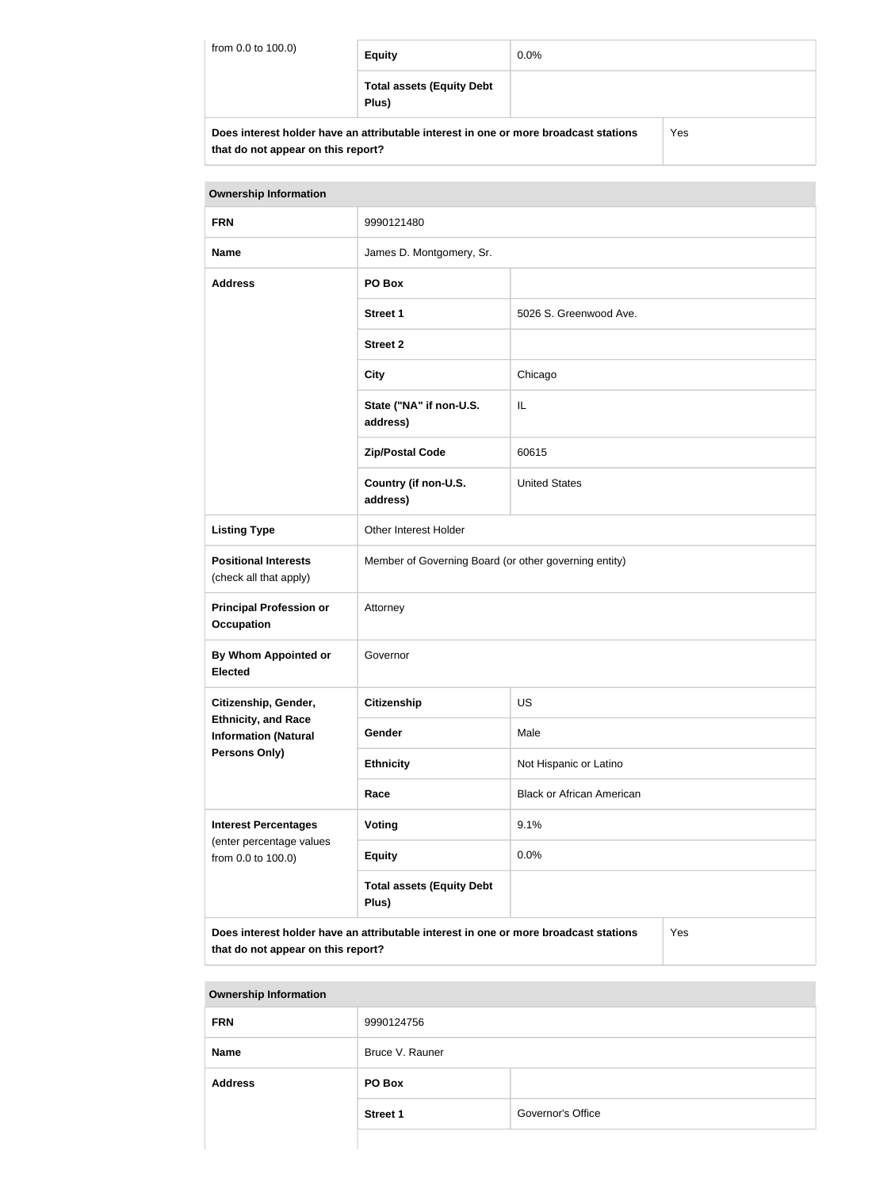| from 0.0 to 100.0) | <b>Equity</b>                                                                        | $0.0\%$ |     |
|--------------------|--------------------------------------------------------------------------------------|---------|-----|
|                    | <b>Total assets (Equity Debt</b><br>Plus)                                            |         |     |
|                    | Does interest holder have an attributable interest in one or more broadcast stations |         | Yes |

**that do not appear on this report?**

| <b>Ownership Information</b>                                                                                                      |                                                       |                                  |  |
|-----------------------------------------------------------------------------------------------------------------------------------|-------------------------------------------------------|----------------------------------|--|
| <b>FRN</b>                                                                                                                        | 9990121480                                            |                                  |  |
| <b>Name</b>                                                                                                                       | James D. Montgomery, Sr.                              |                                  |  |
| <b>Address</b>                                                                                                                    | PO Box                                                |                                  |  |
|                                                                                                                                   | <b>Street 1</b>                                       | 5026 S. Greenwood Ave.           |  |
|                                                                                                                                   | <b>Street 2</b>                                       |                                  |  |
|                                                                                                                                   | <b>City</b>                                           | Chicago                          |  |
|                                                                                                                                   | State ("NA" if non-U.S.<br>address)                   | IL                               |  |
|                                                                                                                                   | <b>Zip/Postal Code</b>                                | 60615                            |  |
|                                                                                                                                   | Country (if non-U.S.<br>address)                      | <b>United States</b>             |  |
| <b>Listing Type</b>                                                                                                               | Other Interest Holder                                 |                                  |  |
| <b>Positional Interests</b><br>(check all that apply)                                                                             | Member of Governing Board (or other governing entity) |                                  |  |
| <b>Principal Profession or</b><br><b>Occupation</b>                                                                               | Attorney                                              |                                  |  |
| <b>By Whom Appointed or</b><br><b>Elected</b>                                                                                     | Governor                                              |                                  |  |
| Citizenship, Gender,                                                                                                              | <b>Citizenship</b>                                    | <b>US</b>                        |  |
| <b>Ethnicity, and Race</b><br><b>Information (Natural</b>                                                                         | Gender                                                | Male                             |  |
| Persons Only)                                                                                                                     | <b>Ethnicity</b>                                      | Not Hispanic or Latino           |  |
|                                                                                                                                   | Race                                                  | <b>Black or African American</b> |  |
| <b>Interest Percentages</b>                                                                                                       | Voting                                                | 9.1%                             |  |
| (enter percentage values<br>from 0.0 to 100.0)                                                                                    | <b>Equity</b>                                         | 0.0%                             |  |
|                                                                                                                                   | <b>Total assets (Equity Debt</b><br>Plus)             |                                  |  |
| Does interest holder have an attributable interest in one or more broadcast stations<br>Yes<br>that do not appear on this report? |                                                       |                                  |  |

| <b>Ownership Information</b> |                 |                   |  |
|------------------------------|-----------------|-------------------|--|
| <b>FRN</b>                   | 9990124756      |                   |  |
| <b>Name</b>                  | Bruce V. Rauner |                   |  |
| <b>Address</b>               | PO Box          |                   |  |
|                              | <b>Street 1</b> | Governor's Office |  |
|                              |                 |                   |  |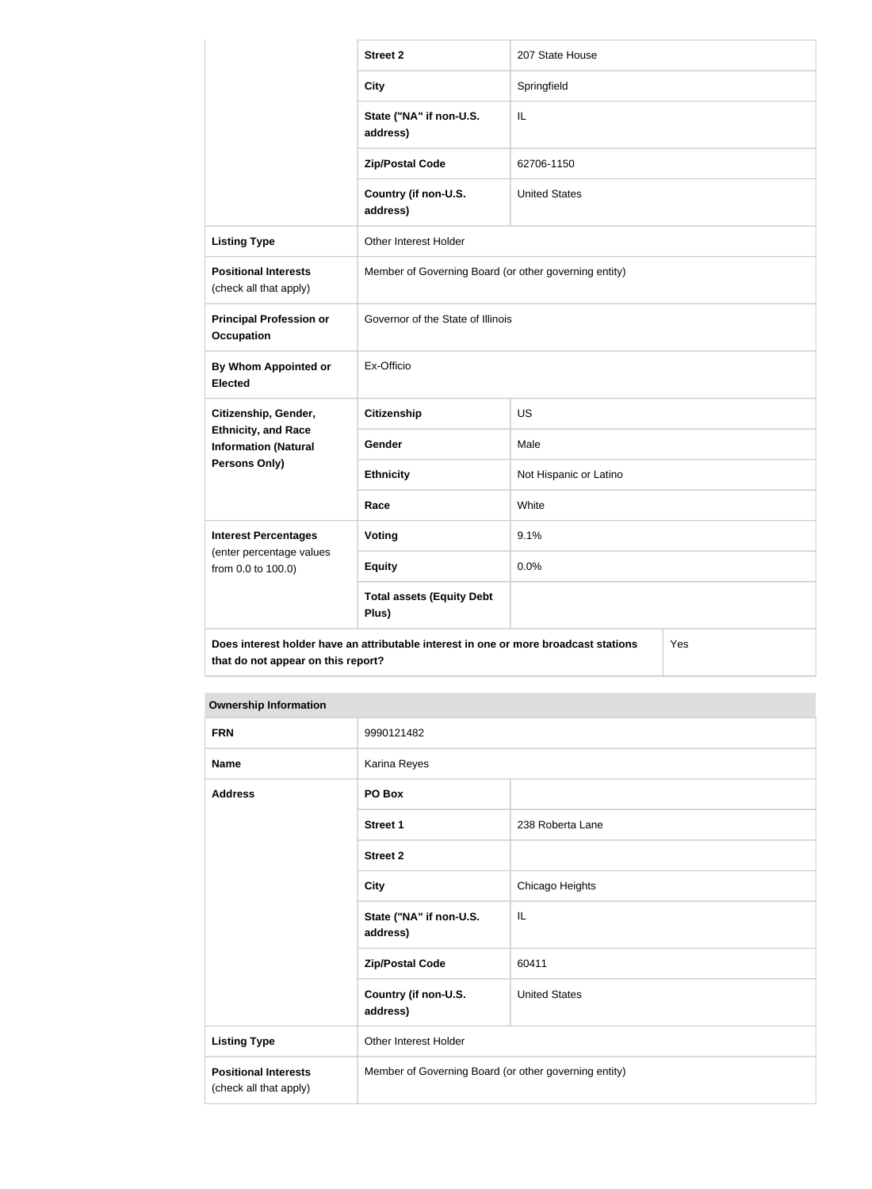|                                                           | <b>Street 2</b>                                                                      | 207 State House        |  |
|-----------------------------------------------------------|--------------------------------------------------------------------------------------|------------------------|--|
|                                                           | <b>City</b>                                                                          | Springfield            |  |
|                                                           | State ("NA" if non-U.S.<br>address)                                                  | IL                     |  |
|                                                           | <b>Zip/Postal Code</b>                                                               | 62706-1150             |  |
|                                                           | Country (if non-U.S.<br>address)                                                     | <b>United States</b>   |  |
| <b>Listing Type</b>                                       | Other Interest Holder                                                                |                        |  |
| <b>Positional Interests</b><br>(check all that apply)     | Member of Governing Board (or other governing entity)                                |                        |  |
| <b>Principal Profession or</b><br><b>Occupation</b>       | Governor of the State of Illinois                                                    |                        |  |
| <b>By Whom Appointed or</b><br><b>Elected</b>             | Ex-Officio                                                                           |                        |  |
| Citizenship, Gender,                                      | <b>Citizenship</b>                                                                   | <b>US</b>              |  |
| <b>Ethnicity, and Race</b><br><b>Information (Natural</b> | Gender                                                                               | Male                   |  |
| <b>Persons Only)</b>                                      | <b>Ethnicity</b>                                                                     | Not Hispanic or Latino |  |
|                                                           | Race                                                                                 | White                  |  |
| <b>Interest Percentages</b>                               | <b>Voting</b>                                                                        | 9.1%                   |  |
| (enter percentage values<br>from 0.0 to 100.0)            | <b>Equity</b>                                                                        | 0.0%                   |  |
|                                                           | <b>Total assets (Equity Debt</b><br>Plus)                                            |                        |  |
| that do not appear on this report?                        | Does interest holder have an attributable interest in one or more broadcast stations | Yes                    |  |

| <b>FRN</b>                                            | 9990121482                                            |                      |
|-------------------------------------------------------|-------------------------------------------------------|----------------------|
| <b>Name</b>                                           | Karina Reyes                                          |                      |
| <b>Address</b>                                        | PO Box                                                |                      |
|                                                       | <b>Street 1</b>                                       | 238 Roberta Lane     |
|                                                       | <b>Street 2</b>                                       |                      |
|                                                       | <b>City</b>                                           | Chicago Heights      |
|                                                       | State ("NA" if non-U.S.<br>address)                   | IL                   |
|                                                       | <b>Zip/Postal Code</b>                                | 60411                |
|                                                       | Country (if non-U.S.<br>address)                      | <b>United States</b> |
| <b>Listing Type</b>                                   | Other Interest Holder                                 |                      |
| <b>Positional Interests</b><br>(check all that apply) | Member of Governing Board (or other governing entity) |                      |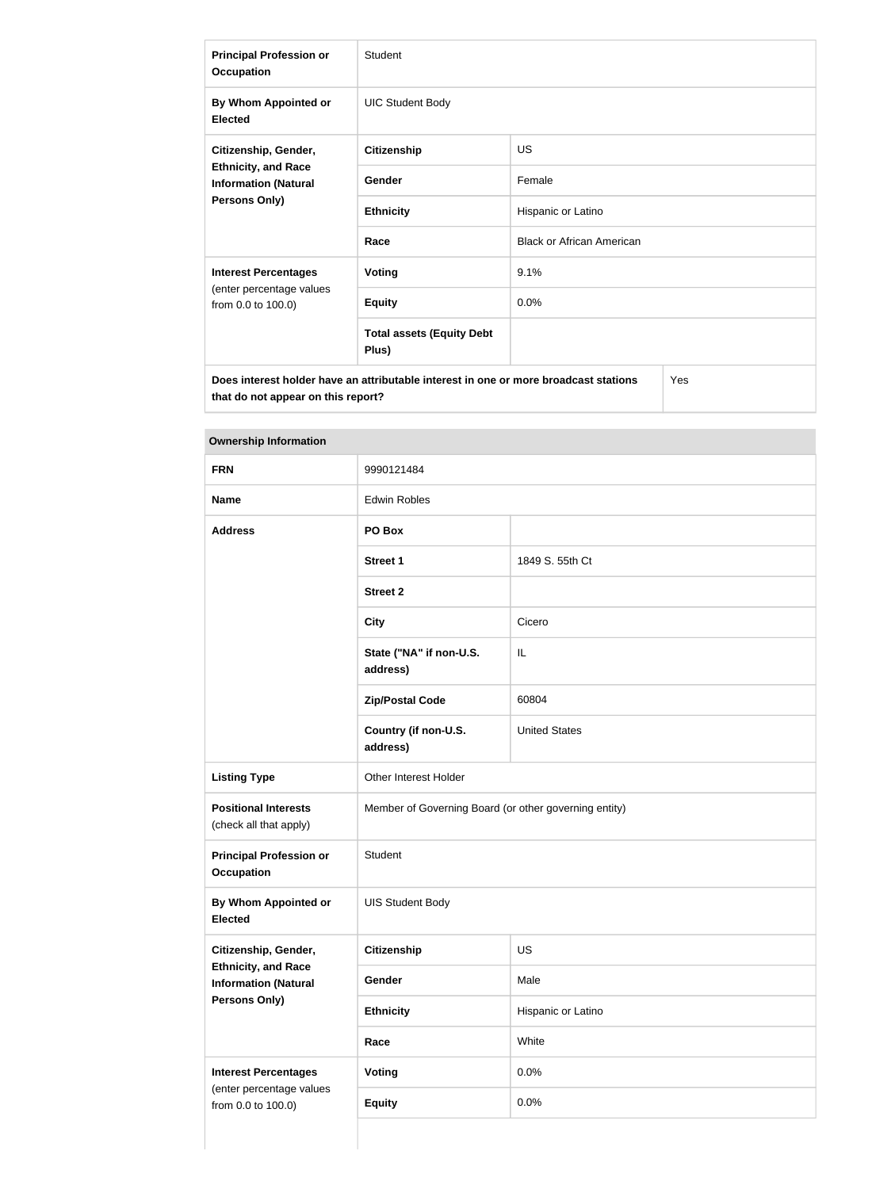| <b>Principal Profession or</b><br><b>Occupation</b>                                                       | Student                                                                              |                                  |  |
|-----------------------------------------------------------------------------------------------------------|--------------------------------------------------------------------------------------|----------------------------------|--|
| By Whom Appointed or<br><b>Elected</b>                                                                    | <b>UIC Student Body</b>                                                              |                                  |  |
| Citizenship, Gender,<br><b>Ethnicity, and Race</b><br><b>Information (Natural</b><br><b>Persons Only)</b> | <b>Citizenship</b>                                                                   | <b>US</b>                        |  |
|                                                                                                           | Gender                                                                               | Female                           |  |
|                                                                                                           | <b>Ethnicity</b>                                                                     | Hispanic or Latino               |  |
|                                                                                                           | Race                                                                                 | <b>Black or African American</b> |  |
| <b>Interest Percentages</b><br>(enter percentage values<br>from 0.0 to 100.0)                             | <b>Voting</b>                                                                        | 9.1%                             |  |
|                                                                                                           | <b>Equity</b>                                                                        | 0.0%                             |  |
|                                                                                                           | <b>Total assets (Equity Debt</b><br>Plus)                                            |                                  |  |
| that do not appear on this report?                                                                        | Does interest holder have an attributable interest in one or more broadcast stations | Yes                              |  |

| <b>FRN</b>                                                                                         | 9990121484                                            |                      |  |
|----------------------------------------------------------------------------------------------------|-------------------------------------------------------|----------------------|--|
| <b>Name</b>                                                                                        | <b>Edwin Robles</b>                                   |                      |  |
| <b>Address</b>                                                                                     | PO Box                                                |                      |  |
|                                                                                                    | <b>Street 1</b>                                       | 1849 S. 55th Ct      |  |
|                                                                                                    | <b>Street 2</b>                                       |                      |  |
|                                                                                                    | <b>City</b>                                           | Cicero               |  |
|                                                                                                    | State ("NA" if non-U.S.<br>address)                   | IL                   |  |
|                                                                                                    | <b>Zip/Postal Code</b>                                | 60804                |  |
|                                                                                                    | Country (if non-U.S.<br>address)                      | <b>United States</b> |  |
| <b>Listing Type</b>                                                                                | Other Interest Holder                                 |                      |  |
| <b>Positional Interests</b><br>(check all that apply)                                              | Member of Governing Board (or other governing entity) |                      |  |
| <b>Principal Profession or</b><br><b>Occupation</b>                                                | Student                                               |                      |  |
| <b>By Whom Appointed or</b><br><b>Elected</b>                                                      | <b>UIS Student Body</b>                               |                      |  |
| Citizenship, Gender,<br><b>Ethnicity, and Race</b><br><b>Information (Natural</b><br>Persons Only) | <b>Citizenship</b>                                    | US                   |  |
|                                                                                                    | Gender                                                | Male                 |  |
|                                                                                                    | <b>Ethnicity</b>                                      | Hispanic or Latino   |  |
|                                                                                                    | Race                                                  | White                |  |
| <b>Interest Percentages</b><br>(enter percentage values<br>from 0.0 to 100.0)                      | <b>Voting</b>                                         | 0.0%                 |  |
|                                                                                                    | <b>Equity</b>                                         | 0.0%                 |  |
|                                                                                                    |                                                       |                      |  |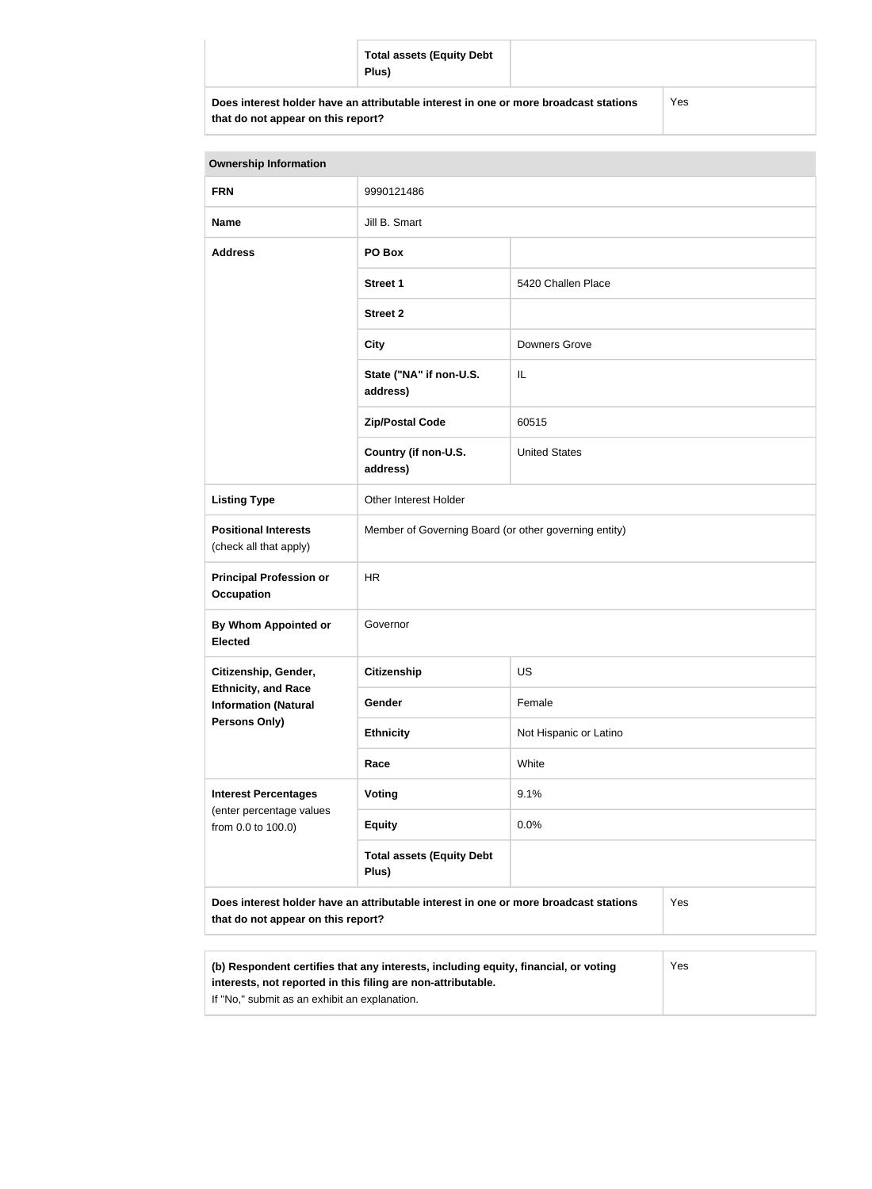|                                                                                      | <b>Total assets (Equity Debt</b><br>Plus) |     |  |
|--------------------------------------------------------------------------------------|-------------------------------------------|-----|--|
| Does interest holder have an attributable interest in one or more broadcast stations |                                           | Yes |  |

| that do not appear on this report? |  |
|------------------------------------|--|
|------------------------------------|--|

| <b>Ownership Information</b>                                                                                                      |                                                                                                                                                            |                        |  |  |
|-----------------------------------------------------------------------------------------------------------------------------------|------------------------------------------------------------------------------------------------------------------------------------------------------------|------------------------|--|--|
| <b>FRN</b>                                                                                                                        | 9990121486                                                                                                                                                 |                        |  |  |
| <b>Name</b>                                                                                                                       | Jill B. Smart                                                                                                                                              |                        |  |  |
| <b>Address</b>                                                                                                                    | PO Box                                                                                                                                                     |                        |  |  |
|                                                                                                                                   | <b>Street 1</b>                                                                                                                                            | 5420 Challen Place     |  |  |
|                                                                                                                                   | <b>Street 2</b>                                                                                                                                            |                        |  |  |
|                                                                                                                                   | <b>City</b>                                                                                                                                                | <b>Downers Grove</b>   |  |  |
|                                                                                                                                   | State ("NA" if non-U.S.<br>address)                                                                                                                        | IL                     |  |  |
|                                                                                                                                   | <b>Zip/Postal Code</b>                                                                                                                                     | 60515                  |  |  |
|                                                                                                                                   | Country (if non-U.S.<br>address)                                                                                                                           | <b>United States</b>   |  |  |
| <b>Listing Type</b>                                                                                                               | Other Interest Holder                                                                                                                                      |                        |  |  |
| <b>Positional Interests</b><br>(check all that apply)                                                                             | Member of Governing Board (or other governing entity)                                                                                                      |                        |  |  |
| <b>Principal Profession or</b><br><b>Occupation</b>                                                                               | <b>HR</b>                                                                                                                                                  |                        |  |  |
| <b>By Whom Appointed or</b><br><b>Elected</b>                                                                                     | Governor                                                                                                                                                   |                        |  |  |
| Citizenship, Gender,                                                                                                              | <b>Citizenship</b>                                                                                                                                         | <b>US</b>              |  |  |
| <b>Ethnicity, and Race</b><br><b>Information (Natural</b>                                                                         | Gender                                                                                                                                                     | Female                 |  |  |
| <b>Persons Only)</b>                                                                                                              | <b>Ethnicity</b>                                                                                                                                           | Not Hispanic or Latino |  |  |
|                                                                                                                                   | Race                                                                                                                                                       | White                  |  |  |
| <b>Interest Percentages</b><br>(enter percentage values<br>from 0.0 to 100.0)                                                     | Voting                                                                                                                                                     | 9.1%                   |  |  |
|                                                                                                                                   | <b>Equity</b>                                                                                                                                              | 0.0%                   |  |  |
|                                                                                                                                   | <b>Total assets (Equity Debt</b><br>Plus)                                                                                                                  |                        |  |  |
| Does interest holder have an attributable interest in one or more broadcast stations<br>Yes<br>that do not appear on this report? |                                                                                                                                                            |                        |  |  |
|                                                                                                                                   |                                                                                                                                                            |                        |  |  |
|                                                                                                                                   | (b) Respondent certifies that any interests, including equity, financial, or voting<br>Yes<br>interests, not reported in this filing are non-attributable. |                        |  |  |

If "No," submit as an exhibit an explanation.